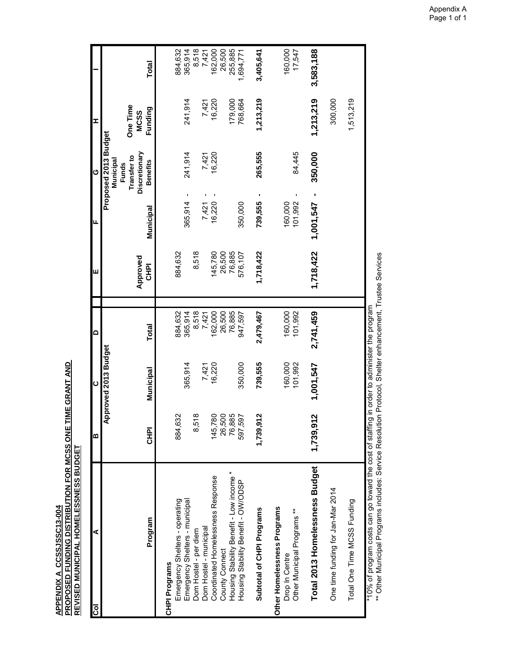<u>APPENDIX A\_CCSSJSSC13-004</u><br>PROPOSED FUNDING DISTRIBUTION FOR MCSS ONE TIME GRANT AND<br>REVISED MUNICIPAL HOMELESSNESS BUDGE<u>T</u> **PROPOSED FUNDING DISTRIBUTION FOR MCSS ONE TIME GRANT AND REVISED MUNICIPAL HOMELESSNESS BUDGET APPENDIX A CCSSJSSC13-004**

| ⋖<br>ပြွ                                                                     | m           | $\mathbf 0$          | $\Omega$     | Ш                       | LL.           | ပ                                 | I                      |              |
|------------------------------------------------------------------------------|-------------|----------------------|--------------|-------------------------|---------------|-----------------------------------|------------------------|--------------|
|                                                                              |             | Approved 2013 Budget |              |                         |               | Proposed 2013 Budget              |                        |              |
|                                                                              |             |                      |              |                         |               | Transfer to<br>Municipal<br>Funds | <b>One Time</b>        |              |
| Program                                                                      | <b>CHPI</b> | Municipal            | <b>Total</b> | Approved<br><b>CHPI</b> | Municipal     | Discretionary<br><b>Benefits</b>  | Funding<br><b>MCSS</b> | <b>Total</b> |
| Emergency Shelters - operating<br>ograms<br>CHPI Pr                          | 884,632     |                      | 884,632      | 884,632                 |               |                                   |                        | 884,632      |
| Emergency Shelters - municipal                                               |             | 365,914              | 365,914      |                         | л.<br>365,914 | 241,914                           | 241,914                | 365,914      |
| Hostel - per diem<br>mog                                                     | 8,518       |                      | 8,518        | 8,518                   |               |                                   |                        | 8,518        |
| Hostel - municipal<br>Dom                                                    |             | 7,421                | 7,421        |                         | 7,421         | 7,421<br>I.                       | 7,421                  | 7,421        |
| Coordinated Homelessness Response                                            | 145,780     | 16,220               | 162,000      | 145,780                 | I.<br>16,220  | 16,220                            | 16,220                 | 162,000      |
| County Connect<br>Housing Stability Benefit - Low income *                   | 26,500      |                      | 26,500       | 26,500                  |               |                                   |                        | 26,500       |
|                                                                              | 76,885      |                      | 76,885       | 76,885                  |               |                                   | 179,000                | 255,885      |
| Housing State<br>fity Benetics<br>on DSD                                     | 597,597     | 350,000              | 947,597      | 576,107                 | 350,000       |                                   | 768,664                | 1,694,771    |
| total of CHPI Programs<br>Subt                                               | 1,739,912   | 739,555              | 2,479,467    | 1,718,422               | 739,555       | 265,555                           | 1,213,219              | 3,405,641    |
| Other Homelessness Programs<br>Drop In Centre<br>Other Municipal Programs ** |             | 160,000              | 160,000      |                         | 160,000       |                                   |                        | 160,000      |
|                                                                              |             | 101,992              | 101,992      |                         | 101,992       | 84,445<br>J.                      |                        | 17,547       |
| al 2013 Homelessness Budget<br>Tota                                          | 1,739,912   | 1,001,547            | 2,741,459    | 1,718,422               | 1,001,547     | 350,000<br>٠                      | 1,213,219              | 3,583,188    |
| time funding for Jan-Mar 2014<br>One                                         |             |                      |              |                         |               |                                   | 300,000                |              |
| Total One Time MCSS Funding                                                  |             |                      |              |                         |               |                                   | 1,513,219              |              |
|                                                                              |             |                      |              |                         |               |                                   |                        |              |

\*10% of program costs can go toward the cost of staffing in order to administer the program<br>\*\* Other Municipal Programs includes: Service Resolution Protocol, Shelter enhancement, Trustee Services \*\* Other Municipal Programs includes: Service Resolution Protocol, Shelter enhancement, Trustee Services \*10% of program costs can go toward the cost of staffing in order to administer the program

Appendix A Page 1 of 1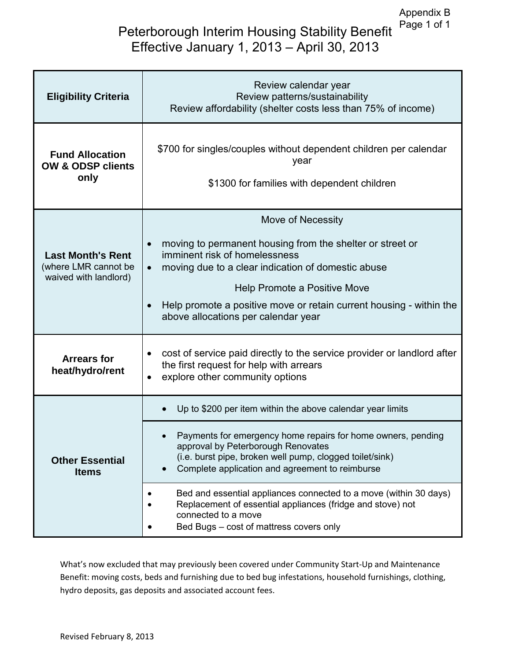## Peterborough Interim Housing Stability Benefit Effective January 1, 2013 – April 30, 2013

| <b>Eligibility Criteria</b>                                               | Review calendar year<br>Review patterns/sustainability<br>Review affordability (shelter costs less than 75% of income)                                                                                                                                                                                                                                     |
|---------------------------------------------------------------------------|------------------------------------------------------------------------------------------------------------------------------------------------------------------------------------------------------------------------------------------------------------------------------------------------------------------------------------------------------------|
| <b>Fund Allocation</b><br><b>OW &amp; ODSP clients</b><br>only            | \$700 for singles/couples without dependent children per calendar<br>year<br>\$1300 for families with dependent children                                                                                                                                                                                                                                   |
| <b>Last Month's Rent</b><br>(where LMR cannot be<br>waived with landlord) | Move of Necessity<br>moving to permanent housing from the shelter or street or<br>$\bullet$<br>imminent risk of homelessness<br>moving due to a clear indication of domestic abuse<br>$\bullet$<br>Help Promote a Positive Move<br>Help promote a positive move or retain current housing - within the<br>$\bullet$<br>above allocations per calendar year |
| <b>Arrears for</b><br>heat/hydro/rent                                     | cost of service paid directly to the service provider or landlord after<br>٠<br>the first request for help with arrears<br>explore other community options                                                                                                                                                                                                 |
| <b>Other Essential</b><br><b>Items</b>                                    | Up to \$200 per item within the above calendar year limits<br>Payments for emergency home repairs for home owners, pending<br>approval by Peterborough Renovates<br>(i.e. burst pipe, broken well pump, clogged toilet/sink)<br>Complete application and agreement to reimburse                                                                            |
|                                                                           | Bed and essential appliances connected to a move (within 30 days)<br>Replacement of essential appliances (fridge and stove) not<br>connected to a move<br>Bed Bugs - cost of mattress covers only                                                                                                                                                          |

What's now excluded that may previously been covered under Community Start-Up and Maintenance Benefit: moving costs, beds and furnishing due to bed bug infestations, household furnishings, clothing, hydro deposits, gas deposits and associated account fees.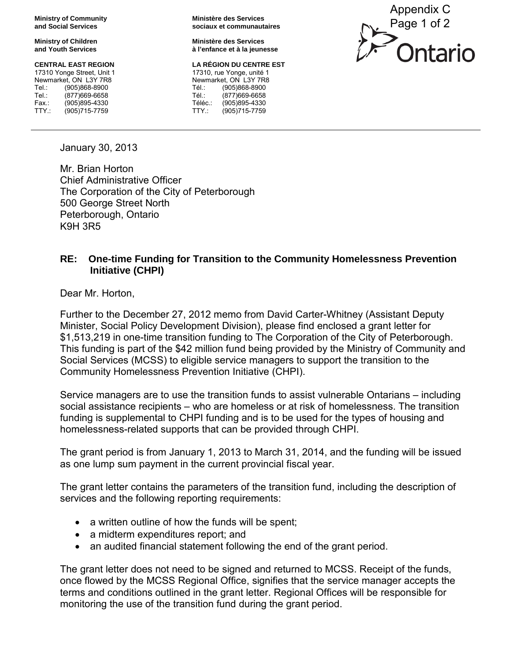**Ministry of Community and Social Services**

**Ministry of Children and Youth Services** 

## **CENTRAL EAST REGION**

17310 Yonge Street, Unit 1 Newmarket, ON L3Y 7R8 Tel.: (905)868-8900<br>Tel : (877)669-6658 (877)669-6658 Fax.: (905)895-4330 TTY.: (905)715-7759

**Ministère des Services sociaux et communautaires**

**Ministère des Services à l'enfance et à la jeunesse**

## **LA RÉGION DU CENTRE EST**

17310, rue Yonge, unité 1 Newmarket, ON L3Y 7R8 Tél.: (905)868-8900<br>Tél : (877)669-6658 (877)669-6658 Téléc.: (905)895-4330<br>TTY.: (905)715-7759 (905)715-7759



January 30, 2013

Mr. Brian Horton Chief Administrative Officer The Corporation of the City of Peterborough 500 George Street North Peterborough, Ontario K9H 3R5

## **RE: One-time Funding for Transition to the Community Homelessness Prevention Initiative (CHPI)**

Dear Mr. Horton,

Further to the December 27, 2012 memo from David Carter-Whitney (Assistant Deputy Minister, Social Policy Development Division), please find enclosed a grant letter for \$1,513,219 in one-time transition funding to The Corporation of the City of Peterborough. This funding is part of the \$42 million fund being provided by the Ministry of Community and Social Services (MCSS) to eligible service managers to support the transition to the Community Homelessness Prevention Initiative (CHPI).

Service managers are to use the transition funds to assist vulnerable Ontarians – including social assistance recipients – who are homeless or at risk of homelessness. The transition funding is supplemental to CHPI funding and is to be used for the types of housing and homelessness-related supports that can be provided through CHPI.

The grant period is from January 1, 2013 to March 31, 2014, and the funding will be issued as one lump sum payment in the current provincial fiscal year.

The grant letter contains the parameters of the transition fund, including the description of services and the following reporting requirements:

- a written outline of how the funds will be spent;
- a midterm expenditures report; and
- an audited financial statement following the end of the grant period.

The grant letter does not need to be signed and returned to MCSS. Receipt of the funds, once flowed by the MCSS Regional Office, signifies that the service manager accepts the terms and conditions outlined in the grant letter. Regional Offices will be responsible for monitoring the use of the transition fund during the grant period.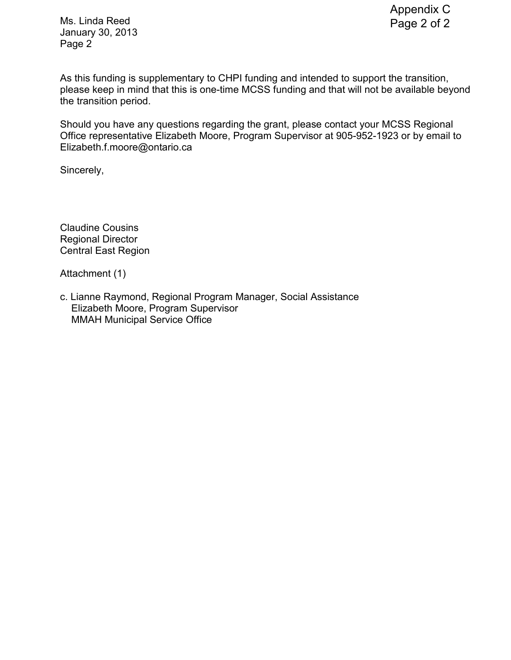Ms. Linda Reed January 30, 2013 Page 2

As this funding is supplementary to CHPI funding and intended to support the transition, please keep in mind that this is one-time MCSS funding and that will not be available beyond the transition period.

Should you have any questions regarding the grant, please contact your MCSS Regional Office representative Elizabeth Moore, Program Supervisor at 905-952-1923 or by email to Elizabeth.f.moore@ontario.ca

Sincerely,

Claudine Cousins Regional Director Central East Region

Attachment (1)

c. Lianne Raymond, Regional Program Manager, Social Assistance Elizabeth Moore, Program Supervisor MMAH Municipal Service Office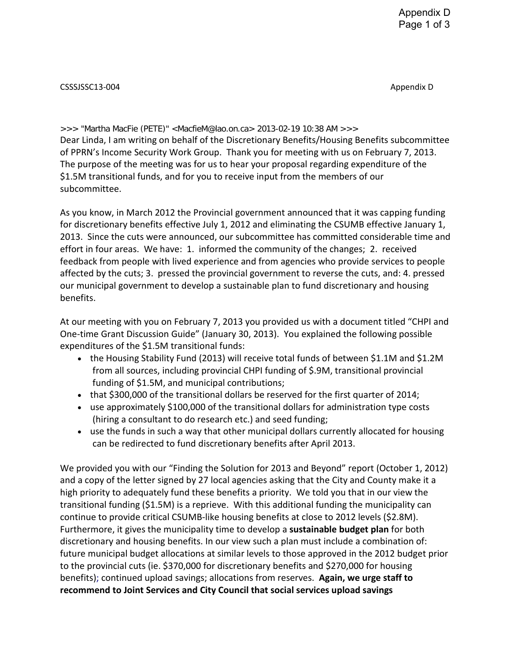CSSSJSSC13-004 Appendix D

>>> "Martha MacFie (PETE)" <MacfieM@lao.on.ca> 2013-02-19 10:38 AM >>> Dear Linda, I am writing on behalf of the Discretionary Benefits/Housing Benefits subcommittee of PPRN's Income Security Work Group. Thank you for meeting with us on February 7, 2013. The purpose of the meeting was for us to hear your proposal regarding expenditure of the \$1.5M transitional funds, and for you to receive input from the members of our subcommittee.

As you know, in March 2012 the Provincial government announced that it was capping funding for discretionary benefits effective July 1, 2012 and eliminating the CSUMB effective January 1, 2013. Since the cuts were announced, our subcommittee has committed considerable time and effort in four areas. We have: 1. informed the community of the changes; 2. received feedback from people with lived experience and from agencies who provide services to people affected by the cuts; 3. pressed the provincial government to reverse the cuts, and: 4. pressed our municipal government to develop a sustainable plan to fund discretionary and housing benefits.

At our meeting with you on February 7, 2013 you provided us with a document titled "CHPI and One-time Grant Discussion Guide" (January 30, 2013). You explained the following possible expenditures of the \$1.5M transitional funds:

- the Housing Stability Fund (2013) will receive total funds of between \$1.1M and \$1.2M from all sources, including provincial CHPI funding of \$.9M, transitional provincial funding of \$1.5M, and municipal contributions;
- that \$300,000 of the transitional dollars be reserved for the first quarter of 2014;
- use approximately \$100,000 of the transitional dollars for administration type costs (hiring a consultant to do research etc.) and seed funding;
- use the funds in such a way that other municipal dollars currently allocated for housing can be redirected to fund discretionary benefits after April 2013.

We provided you with our "Finding the Solution for 2013 and Beyond" report (October 1, 2012) and a copy of the letter signed by 27 local agencies asking that the City and County make it a high priority to adequately fund these benefits a priority. We told you that in our view the transitional funding (\$1.5M) is a reprieve. With this additional funding the municipality can continue to provide critical CSUMB-like housing benefits at close to 2012 levels (\$2.8M). Furthermore, it gives the municipality time to develop a **sustainable budget plan** for both discretionary and housing benefits. In our view such a plan must include a combination of: future municipal budget allocations at similar levels to those approved in the 2012 budget prior to the provincial cuts (ie. \$370,000 for discretionary benefits and \$270,000 for housing benefits); continued upload savings; allocations from reserves. **Again, we urge staff to recommend to Joint Services and City Council that social services upload savings**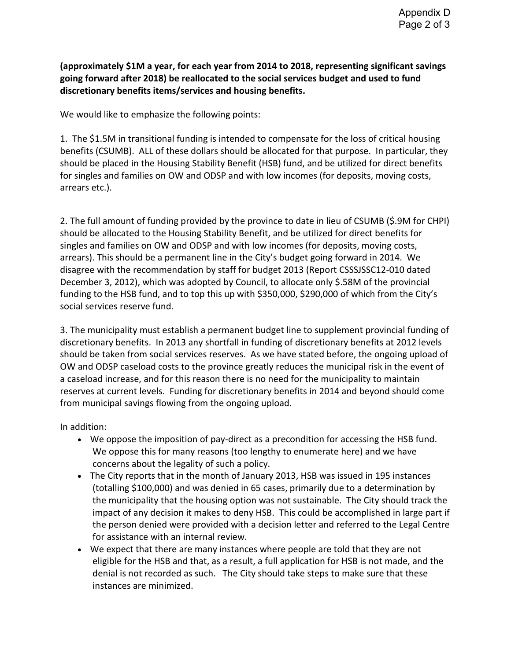**(approximately \$1M a year, for each year from 2014 to 2018, representing significant savings going forward after 2018) be reallocated to the social services budget and used to fund discretionary benefits items/services and housing benefits.** 

We would like to emphasize the following points:

1. The \$1.5M in transitional funding is intended to compensate for the loss of critical housing benefits (CSUMB). ALL of these dollars should be allocated for that purpose. In particular, they should be placed in the Housing Stability Benefit (HSB) fund, and be utilized for direct benefits for singles and families on OW and ODSP and with low incomes (for deposits, moving costs, arrears etc.).

2. The full amount of funding provided by the province to date in lieu of CSUMB (\$.9M for CHPI) should be allocated to the Housing Stability Benefit, and be utilized for direct benefits for singles and families on OW and ODSP and with low incomes (for deposits, moving costs, arrears). This should be a permanent line in the City's budget going forward in 2014. We disagree with the recommendation by staff for budget 2013 (Report CSSSJSSC12-010 dated December 3, 2012), which was adopted by Council, to allocate only \$.58M of the provincial funding to the HSB fund, and to top this up with \$350,000, \$290,000 of which from the City's social services reserve fund.

3. The municipality must establish a permanent budget line to supplement provincial funding of discretionary benefits. In 2013 any shortfall in funding of discretionary benefits at 2012 levels should be taken from social services reserves. As we have stated before, the ongoing upload of OW and ODSP caseload costs to the province greatly reduces the municipal risk in the event of a caseload increase, and for this reason there is no need for the municipality to maintain reserves at current levels. Funding for discretionary benefits in 2014 and beyond should come from municipal savings flowing from the ongoing upload.

In addition:

- We oppose the imposition of pay-direct as a precondition for accessing the HSB fund. We oppose this for many reasons (too lengthy to enumerate here) and we have concerns about the legality of such a policy.
- The City reports that in the month of January 2013, HSB was issued in 195 instances (totalling \$100,000) and was denied in 65 cases, primarily due to a determination by the municipality that the housing option was not sustainable. The City should track the impact of any decision it makes to deny HSB. This could be accomplished in large part if the person denied were provided with a decision letter and referred to the Legal Centre for assistance with an internal review.
- We expect that there are many instances where people are told that they are not eligible for the HSB and that, as a result, a full application for HSB is not made, and the denial is not recorded as such. The City should take steps to make sure that these instances are minimized.